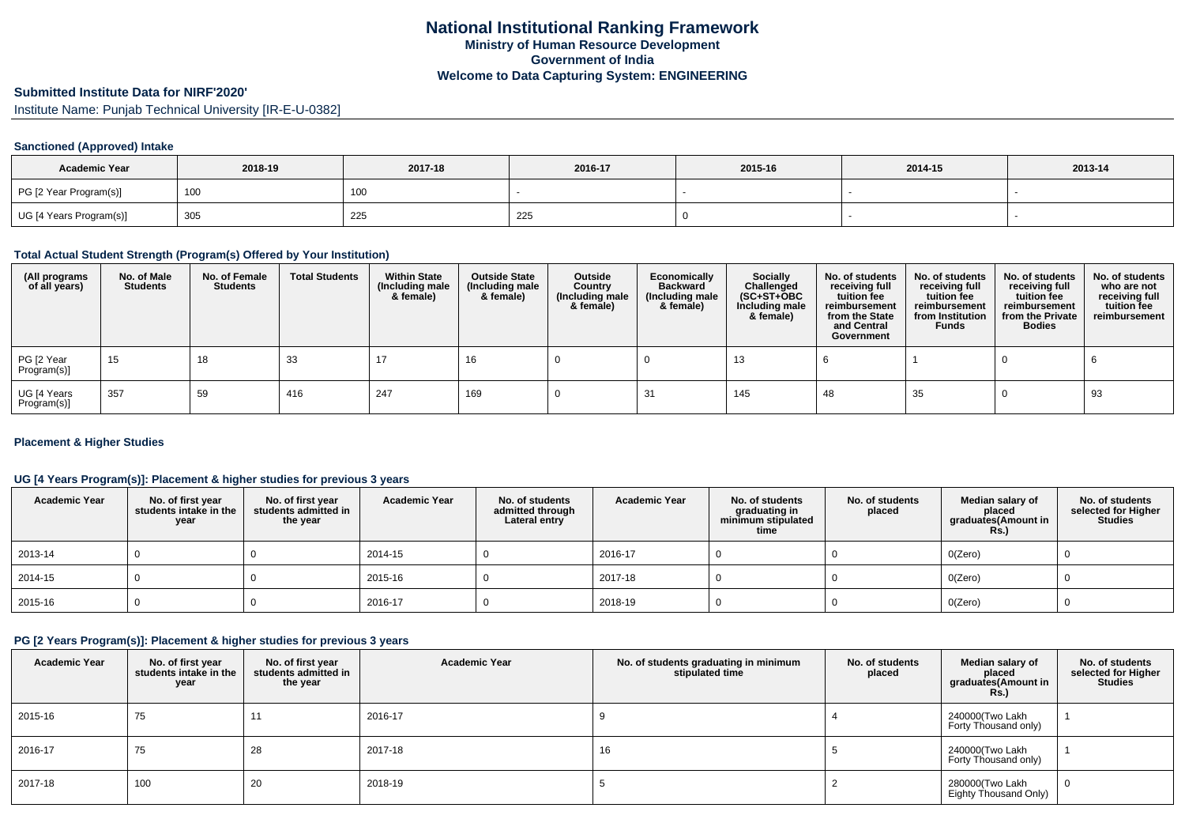#### **Submitted Institute Data for NIRF'2020'**

Institute Name: Punjab Technical University [IR-E-U-0382]

### **Sanctioned (Approved) Intake**

| <b>Academic Year</b>    | 2018-19 | 2017-18 | 2016-17        | 2015-16 | 2014-15 | 2013-14 |
|-------------------------|---------|---------|----------------|---------|---------|---------|
| PG [2 Year Program(s)]  | 100     | 100     |                |         |         |         |
| UG [4 Years Program(s)] | 305     | 225     | $\sim$<br>-443 |         |         |         |

#### **Total Actual Student Strength (Program(s) Offered by Your Institution)**

| (All programs<br>of all years) | No. of Male<br><b>Students</b> | No. of Female<br>Students | <b>Total Students</b> | <b>Within State</b><br>(Including male<br>& female) | <b>Outside State</b><br>(Including male<br>& female) | Outside<br>Country<br>(Including male<br>& female) | Economically<br><b>Backward</b><br>(Including male<br>& female) | <b>Socially</b><br>Challenged<br>$(SC+ST+OBC)$<br>Including male<br>& female) | No. of students<br>receiving full<br>tuition fee<br>reimbursement<br>from the State<br>and Central<br>Government | No. of students<br>receiving full<br>tuition fee<br>reimbursement<br>from Institution<br><b>Funds</b> | No. of students<br>receiving full<br>tuition fee<br>reimbursement<br>from the Private<br><b>Bodies</b> | No. of students<br>who are not<br>receiving full<br>tuition fee<br>reimbursement |
|--------------------------------|--------------------------------|---------------------------|-----------------------|-----------------------------------------------------|------------------------------------------------------|----------------------------------------------------|-----------------------------------------------------------------|-------------------------------------------------------------------------------|------------------------------------------------------------------------------------------------------------------|-------------------------------------------------------------------------------------------------------|--------------------------------------------------------------------------------------------------------|----------------------------------------------------------------------------------|
| PG [2 Year<br>Program(s)]      | 15                             | 18                        | 33                    | 17                                                  | 16                                                   |                                                    |                                                                 | 13                                                                            |                                                                                                                  |                                                                                                       |                                                                                                        |                                                                                  |
| UG [4 Years<br>Program(s)]     | 357                            | 59                        | 416                   | 247                                                 | 169                                                  |                                                    |                                                                 | 145                                                                           | 48                                                                                                               | 35                                                                                                    |                                                                                                        | 93                                                                               |

### **Placement & Higher Studies**

### **UG [4 Years Program(s)]: Placement & higher studies for previous 3 years**

| <b>Academic Year</b> | No. of first year<br>students intake in the<br>year | No. of first year<br>students admitted in<br>the year | <b>Academic Year</b> | No. of students<br>admitted through<br>Lateral entry | <b>Academic Year</b> | No. of students<br>graduating in<br>minimum stipulated<br>time | No. of students<br>placed | Median salary of<br>placed<br>graduates(Amount in<br><b>Rs.)</b> | No. of students<br>selected for Higher<br><b>Studies</b> |
|----------------------|-----------------------------------------------------|-------------------------------------------------------|----------------------|------------------------------------------------------|----------------------|----------------------------------------------------------------|---------------------------|------------------------------------------------------------------|----------------------------------------------------------|
| 2013-14              |                                                     |                                                       | 2014-15              |                                                      | 2016-17              |                                                                |                           | O(Zero)                                                          |                                                          |
| 2014-15              |                                                     |                                                       | 2015-16              |                                                      | 2017-18              |                                                                |                           | O(Zero)                                                          |                                                          |
| 2015-16              |                                                     |                                                       | 2016-17              |                                                      | 2018-19              |                                                                |                           | O(Zero)                                                          |                                                          |

# **PG [2 Years Program(s)]: Placement & higher studies for previous 3 years**

| <b>Academic Year</b> | No. of first year<br>students intake in the<br>year | No. of first year<br>students admitted in<br>the year | <b>Academic Year</b> | No. of students graduating in minimum<br>stipulated time | No. of students<br>placed | Median salary of<br>placed<br>graduates(Amount in<br><b>Rs.)</b> | No. of students<br>selected for Higher<br><b>Studies</b> |
|----------------------|-----------------------------------------------------|-------------------------------------------------------|----------------------|----------------------------------------------------------|---------------------------|------------------------------------------------------------------|----------------------------------------------------------|
| 2015-16              | 75                                                  | 11                                                    | 2016-17              |                                                          |                           | 240000(Two Lakh<br>Forty Thousand only)                          |                                                          |
| 2016-17              | 75                                                  | 28                                                    | 2017-18              | 16                                                       |                           | 240000(Two Lakh<br>Forty Thousand only)                          |                                                          |
| 2017-18              | 100                                                 | 20                                                    | 2018-19              |                                                          |                           | 280000(Two Lakh<br>Eighty Thousand Only)                         | 0                                                        |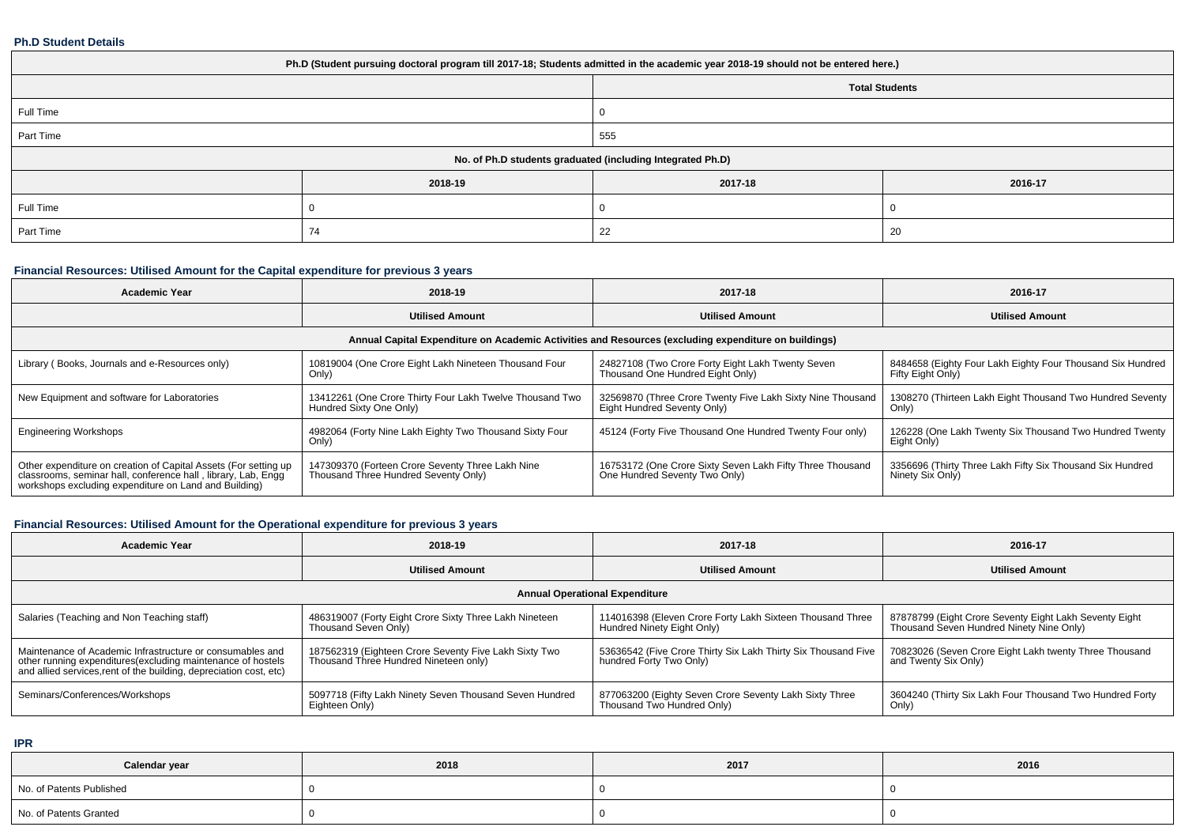### **Ph.D Student Details**

| Ph.D (Student pursuing doctoral program till 2017-18; Students admitted in the academic year 2018-19 should not be entered here.) |         |          |                       |  |
|-----------------------------------------------------------------------------------------------------------------------------------|---------|----------|-----------------------|--|
|                                                                                                                                   |         |          | <b>Total Students</b> |  |
| Full Time                                                                                                                         |         | $\Omega$ |                       |  |
| Part Time                                                                                                                         |         | 555      |                       |  |
| No. of Ph.D students graduated (including Integrated Ph.D)                                                                        |         |          |                       |  |
|                                                                                                                                   | 2018-19 | 2017-18  | 2016-17               |  |
| Full Time                                                                                                                         |         |          |                       |  |
| Part Time                                                                                                                         | 74      | 22       | -20                   |  |

# **Financial Resources: Utilised Amount for the Capital expenditure for previous 3 years**

| <b>Academic Year</b>                                                                                                                                                                      | 2018-19                                                                                  | 2017-18                                                                                    | 2016-17                                                                         |  |  |  |
|-------------------------------------------------------------------------------------------------------------------------------------------------------------------------------------------|------------------------------------------------------------------------------------------|--------------------------------------------------------------------------------------------|---------------------------------------------------------------------------------|--|--|--|
|                                                                                                                                                                                           | <b>Utilised Amount</b>                                                                   | <b>Utilised Amount</b>                                                                     | <b>Utilised Amount</b>                                                          |  |  |  |
| Annual Capital Expenditure on Academic Activities and Resources (excluding expenditure on buildings)                                                                                      |                                                                                          |                                                                                            |                                                                                 |  |  |  |
| Library (Books, Journals and e-Resources only)                                                                                                                                            | 10819004 (One Crore Eight Lakh Nineteen Thousand Four<br>Only)                           | 24827108 (Two Crore Forty Eight Lakh Twenty Seven<br>Thousand One Hundred Eight Only)      | 8484658 (Eighty Four Lakh Eighty Four Thousand Six Hundred<br>Fifty Eight Only) |  |  |  |
| New Equipment and software for Laboratories                                                                                                                                               | 13412261 (One Crore Thirty Four Lakh Twelve Thousand Two<br>Hundred Sixty One Only)      | 32569870 (Three Crore Twenty Five Lakh Sixty Nine Thousand<br>Eight Hundred Seventy Only)  | 1308270 (Thirteen Lakh Eight Thousand Two Hundred Seventy<br>Only)              |  |  |  |
| <b>Engineering Workshops</b>                                                                                                                                                              | 4982064 (Forty Nine Lakh Eighty Two Thousand Sixty Four<br>Only)                         | 45124 (Forty Five Thousand One Hundred Twenty Four only)                                   | 126228 (One Lakh Twenty Six Thousand Two Hundred Twenty<br>Eight Only)          |  |  |  |
| Other expenditure on creation of Capital Assets (For setting up<br>classrooms, seminar hall, conference hall, library, Lab, Engq<br>workshops excluding expenditure on Land and Building) | 147309370 (Forteen Crore Seventy Three Lakh Nine<br>Thousand Three Hundred Seventy Only) | 16753172 (One Crore Sixty Seven Lakh Fifty Three Thousand<br>One Hundred Seventy Two Only) | 3356696 (Thirty Three Lakh Fifty Six Thousand Six Hundred<br>Ninety Six Only)   |  |  |  |

# **Financial Resources: Utilised Amount for the Operational expenditure for previous 3 years**

| <b>Academic Year</b>                                                                                                                                                                           | 2018-19                                                                                        | 2017-18                                                                                  | 2016-17                                                                                            |  |  |
|------------------------------------------------------------------------------------------------------------------------------------------------------------------------------------------------|------------------------------------------------------------------------------------------------|------------------------------------------------------------------------------------------|----------------------------------------------------------------------------------------------------|--|--|
|                                                                                                                                                                                                | <b>Utilised Amount</b>                                                                         | <b>Utilised Amount</b>                                                                   | <b>Utilised Amount</b>                                                                             |  |  |
| <b>Annual Operational Expenditure</b>                                                                                                                                                          |                                                                                                |                                                                                          |                                                                                                    |  |  |
| Salaries (Teaching and Non Teaching staff)                                                                                                                                                     | 486319007 (Forty Eight Crore Sixty Three Lakh Nineteen<br>Thousand Seven Only)                 | 114016398 (Eleven Crore Forty Lakh Sixteen Thousand Three<br>Hundred Ninety Eight Only)  | 87878799 (Eight Crore Seventy Eight Lakh Seventy Eight<br>Thousand Seven Hundred Ninety Nine Only) |  |  |
| Maintenance of Academic Infrastructure or consumables and<br>other running expenditures(excluding maintenance of hostels<br>and allied services, rent of the building, depreciation cost, etc) | 187562319 (Eighteen Crore Seventy Five Lakh Sixty Two<br>Thousand Three Hundred Nineteen only) | 53636542 (Five Crore Thirty Six Lakh Thirty Six Thousand Five<br>hundred Forty Two Only) | 70823026 (Seven Crore Eight Lakh twenty Three Thousand<br>and Twenty Six Only)                     |  |  |
| Seminars/Conferences/Workshops                                                                                                                                                                 | 5097718 (Fifty Lakh Ninety Seven Thousand Seven Hundred<br>Eighteen Only)                      | 877063200 (Eighty Seven Crore Seventy Lakh Sixty Three<br>Thousand Two Hundred Only)     | 3604240 (Thirty Six Lakh Four Thousand Two Hundred Forty<br>Only)                                  |  |  |

**IPR**

| Calendar year            | 2018 | 2017 | 2016 |
|--------------------------|------|------|------|
| No. of Patents Published |      |      |      |
| No. of Patents Granted   |      |      |      |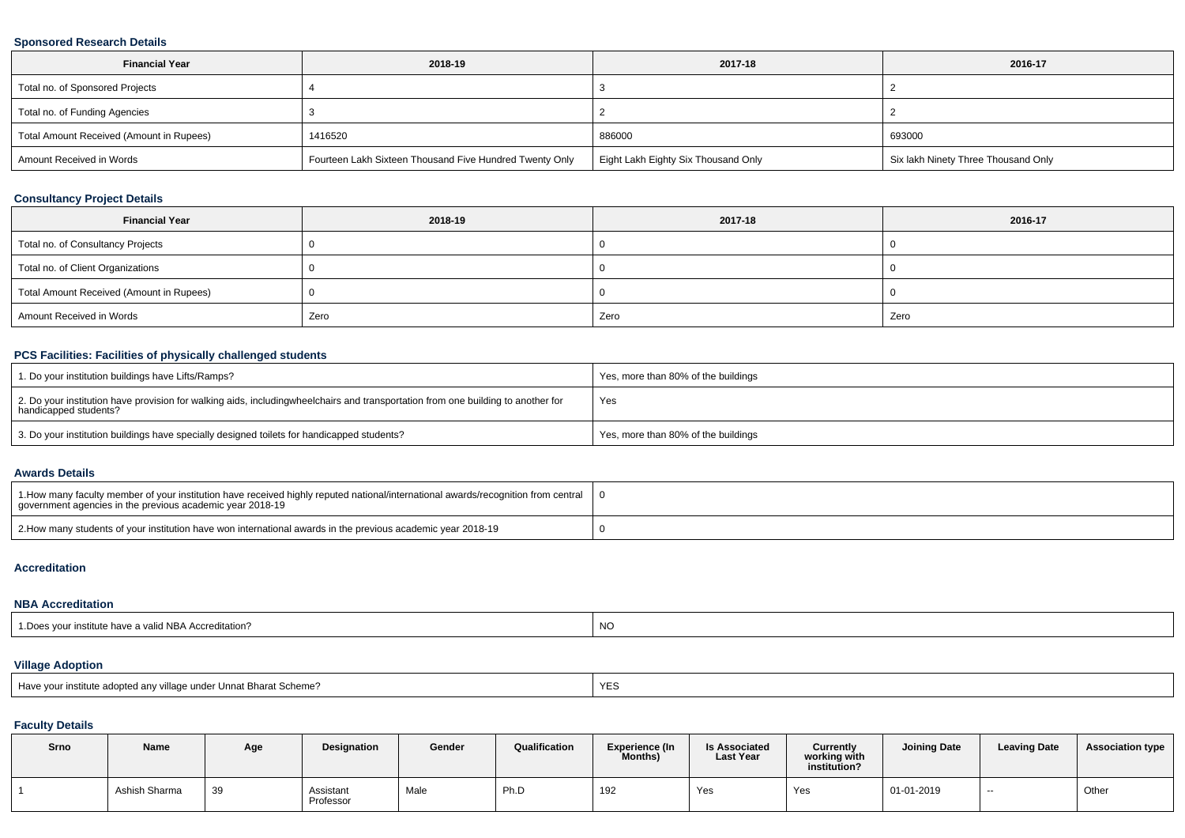### **Sponsored Research Details**

| <b>Financial Year</b>                    | 2018-19                                                 | 2017-18                             | 2016-17                             |
|------------------------------------------|---------------------------------------------------------|-------------------------------------|-------------------------------------|
| Total no. of Sponsored Projects          |                                                         |                                     |                                     |
| Total no. of Funding Agencies            |                                                         |                                     |                                     |
| Total Amount Received (Amount in Rupees) | 1416520                                                 | 886000                              | 693000                              |
| Amount Received in Words                 | Fourteen Lakh Sixteen Thousand Five Hundred Twenty Only | Eight Lakh Eighty Six Thousand Only | Six lakh Ninety Three Thousand Only |

# **Consultancy Project Details**

| <b>Financial Year</b>                    | 2018-19 | 2017-18 | 2016-17 |
|------------------------------------------|---------|---------|---------|
| Total no. of Consultancy Projects        |         |         |         |
| Total no. of Client Organizations        |         |         |         |
| Total Amount Received (Amount in Rupees) |         |         |         |
| Amount Received in Words                 | Zero    | Zero    | Zero    |

### **PCS Facilities: Facilities of physically challenged students**

| 1. Do your institution buildings have Lifts/Ramps?                                                                                                        | Yes, more than 80% of the buildings |
|-----------------------------------------------------------------------------------------------------------------------------------------------------------|-------------------------------------|
| 2. Do your institution have provision for walking aids, includingwheelchairs and transportation from one building to another for<br>handicapped students? | Yes                                 |
| 3. Do your institution buildings have specially designed toilets for handicapped students?                                                                | Yes, more than 80% of the buildings |

#### **Awards Details**

| 10 1. How many faculty member of your institution have received highly reputed national/international awards/recognition from central $\pm 0$<br>government agencies in the previous academic vear 2018-19 |  |
|------------------------------------------------------------------------------------------------------------------------------------------------------------------------------------------------------------|--|
| 2. How many students of your institution have won international awards in the previous academic year 2018-19                                                                                               |  |

#### **Accreditation**

### **NBA Accreditation**

| 1. Does your institute have a valid NBA Accreditation? | <b>NO</b> |
|--------------------------------------------------------|-----------|
|--------------------------------------------------------|-----------|

# **Village Adoption**

| Have vour institute adopted any village under Unnat Bharat Scheme? |  |
|--------------------------------------------------------------------|--|
|--------------------------------------------------------------------|--|

# **Faculty Details**

| Srno | Name          | Age | <b>Designation</b>     | Gender | Qualification | Experience (In<br>Months) | <b>Is Associated</b><br>Last Year | Currently<br>working with<br>institution? | Joining Date | <b>Leaving Date</b> | <b>Association type</b> |
|------|---------------|-----|------------------------|--------|---------------|---------------------------|-----------------------------------|-------------------------------------------|--------------|---------------------|-------------------------|
|      | Ashish Sharma | 39  | Assistant<br>Professor | Male   | Ph.D          | 192                       | Yes                               | Yes                                       | 01-01-2019   | $- -$               | Other                   |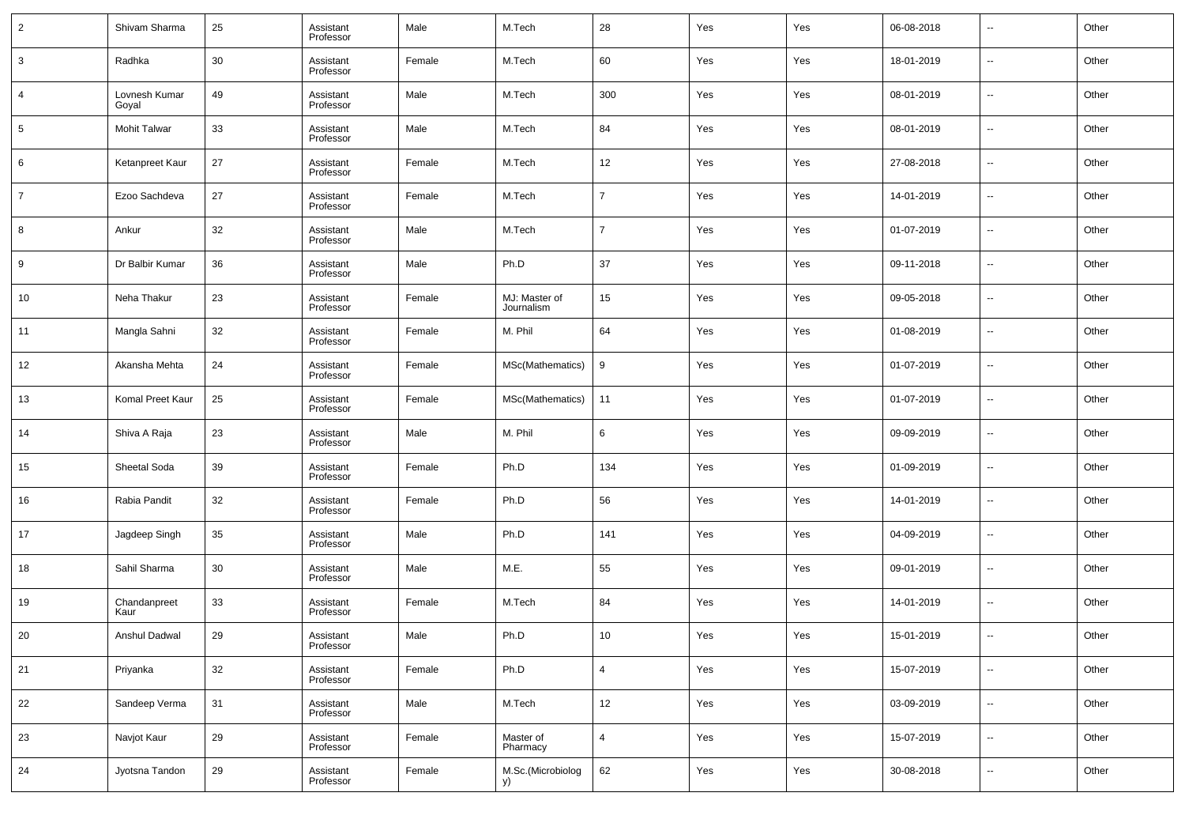| $\overline{2}$ | Shivam Sharma          | 25     | Assistant<br>Professor | Male   | M.Tech                      | 28             | Yes | Yes | 06-08-2018 | $\overline{\phantom{a}}$ | Other |
|----------------|------------------------|--------|------------------------|--------|-----------------------------|----------------|-----|-----|------------|--------------------------|-------|
| 3              | Radhka                 | 30     | Assistant<br>Professor | Female | M.Tech                      | 60             | Yes | Yes | 18-01-2019 | $\overline{\phantom{a}}$ | Other |
| $\overline{4}$ | Lovnesh Kumar<br>Goyal | 49     | Assistant<br>Professor | Male   | M.Tech                      | 300            | Yes | Yes | 08-01-2019 | $\overline{\phantom{a}}$ | Other |
| 5              | Mohit Talwar           | 33     | Assistant<br>Professor | Male   | M.Tech                      | 84             | Yes | Yes | 08-01-2019 | $\overline{\phantom{a}}$ | Other |
| 6              | Ketanpreet Kaur        | 27     | Assistant<br>Professor | Female | M.Tech                      | 12             | Yes | Yes | 27-08-2018 | $\overline{\phantom{a}}$ | Other |
| $\overline{7}$ | Ezoo Sachdeva          | 27     | Assistant<br>Professor | Female | M.Tech                      | $\overline{7}$ | Yes | Yes | 14-01-2019 | $\overline{\phantom{a}}$ | Other |
| 8              | Ankur                  | 32     | Assistant<br>Professor | Male   | M.Tech                      | $\overline{7}$ | Yes | Yes | 01-07-2019 | $\overline{\phantom{a}}$ | Other |
| 9              | Dr Balbir Kumar        | 36     | Assistant<br>Professor | Male   | Ph.D                        | 37             | Yes | Yes | 09-11-2018 | $\overline{\phantom{a}}$ | Other |
| 10             | Neha Thakur            | 23     | Assistant<br>Professor | Female | MJ: Master of<br>Journalism | 15             | Yes | Yes | 09-05-2018 | $\overline{\phantom{a}}$ | Other |
| 11             | Mangla Sahni           | 32     | Assistant<br>Professor | Female | M. Phil                     | 64             | Yes | Yes | 01-08-2019 | $\overline{\phantom{a}}$ | Other |
| 12             | Akansha Mehta          | 24     | Assistant<br>Professor | Female | MSc(Mathematics)            | 9              | Yes | Yes | 01-07-2019 | $\overline{\phantom{a}}$ | Other |
| 13             | Komal Preet Kaur       | 25     | Assistant<br>Professor | Female | MSc(Mathematics)            | 11             | Yes | Yes | 01-07-2019 | $\overline{\phantom{a}}$ | Other |
| 14             | Shiva A Raja           | 23     | Assistant<br>Professor | Male   | M. Phil                     | 6              | Yes | Yes | 09-09-2019 | $\overline{\phantom{a}}$ | Other |
| 15             | Sheetal Soda           | 39     | Assistant<br>Professor | Female | Ph.D                        | 134            | Yes | Yes | 01-09-2019 | $\overline{\phantom{a}}$ | Other |
| 16             | Rabia Pandit           | 32     | Assistant<br>Professor | Female | Ph.D                        | 56             | Yes | Yes | 14-01-2019 | $\overline{\phantom{a}}$ | Other |
| 17             | Jagdeep Singh          | 35     | Assistant<br>Professor | Male   | Ph.D                        | 141            | Yes | Yes | 04-09-2019 | $\overline{\phantom{a}}$ | Other |
| 18             | Sahil Sharma           | 30     | Assistant<br>Professor | Male   | M.E.                        | 55             | Yes | Yes | 09-01-2019 | $\overline{\phantom{a}}$ | Other |
| 19             | Chandanpreet<br>Kaur   | 33     | Assistant<br>Professor | Female | M.Tech                      | 84             | Yes | Yes | 14-01-2019 | $\overline{\phantom{a}}$ | Other |
| 20             | Anshul Dadwal          | 29     | Assistant<br>Professor | Male   | Ph.D                        | 10             | Yes | Yes | 15-01-2019 | $\overline{\phantom{a}}$ | Other |
| 21             | Priyanka               | $32\,$ | Assistant<br>Professor | Female | Ph.D                        | $\overline{4}$ | Yes | Yes | 15-07-2019 | $\overline{\phantom{a}}$ | Other |
| 22             | Sandeep Verma          | 31     | Assistant<br>Professor | Male   | M.Tech                      | 12             | Yes | Yes | 03-09-2019 | $\overline{\phantom{a}}$ | Other |
| 23             | Navjot Kaur            | 29     | Assistant<br>Professor | Female | Master of<br>Pharmacy       | 4              | Yes | Yes | 15-07-2019 | $\overline{\phantom{a}}$ | Other |
| 24             | Jyotsna Tandon         | 29     | Assistant<br>Professor | Female | M.Sc.(Microbiolog<br>y)     | 62             | Yes | Yes | 30-08-2018 | $\overline{\phantom{a}}$ | Other |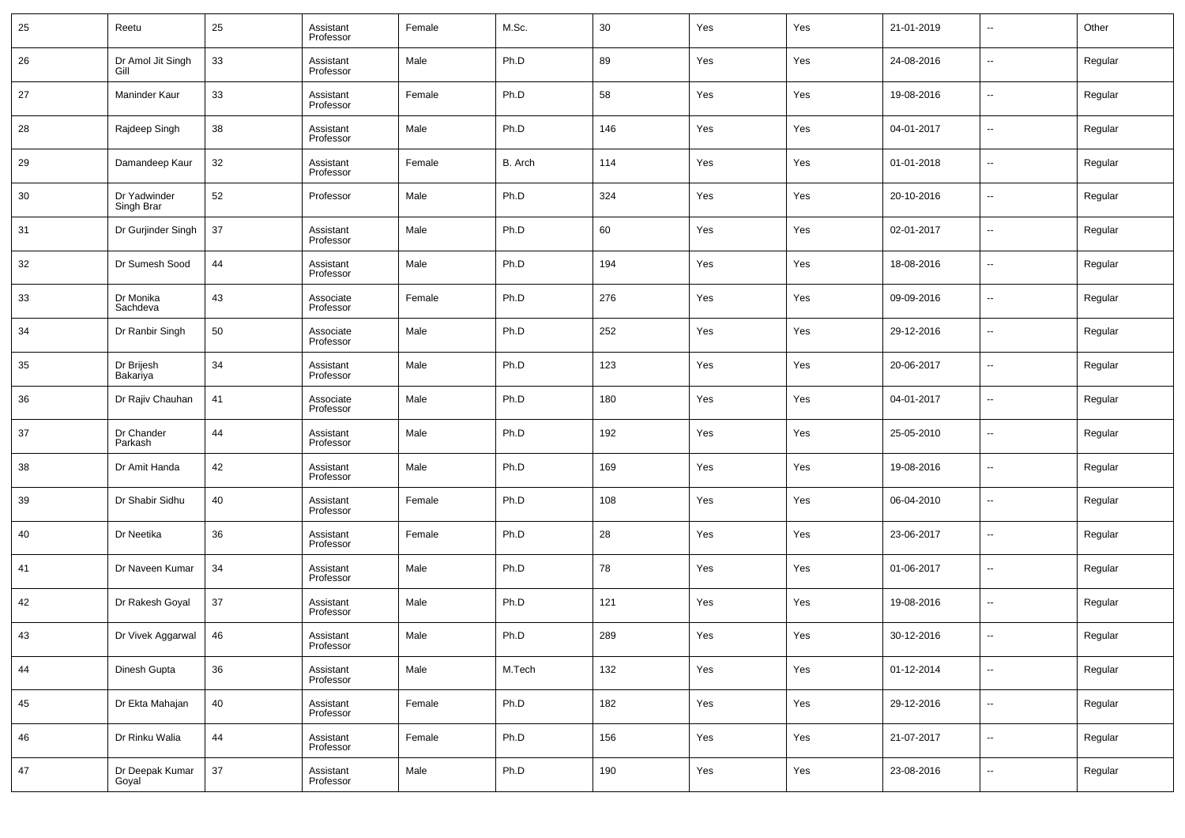| 25          | Reetu                      | 25 | Assistant<br>Professor | Female | M.Sc.   | 30  | Yes | Yes | 21-01-2019 | --                       | Other   |
|-------------|----------------------------|----|------------------------|--------|---------|-----|-----|-----|------------|--------------------------|---------|
| 26          | Dr Amol Jit Singh<br>Gill  | 33 | Assistant<br>Professor | Male   | Ph.D    | 89  | Yes | Yes | 24-08-2016 | --                       | Regular |
| 27          | Maninder Kaur              | 33 | Assistant<br>Professor | Female | Ph.D    | 58  | Yes | Yes | 19-08-2016 | --                       | Regular |
| 28          | Rajdeep Singh              | 38 | Assistant<br>Professor | Male   | Ph.D    | 146 | Yes | Yes | 04-01-2017 | $\sim$                   | Regular |
| 29          | Damandeep Kaur             | 32 | Assistant<br>Professor | Female | B. Arch | 114 | Yes | Yes | 01-01-2018 | --                       | Regular |
| 30          | Dr Yadwinder<br>Singh Brar | 52 | Professor              | Male   | Ph.D    | 324 | Yes | Yes | 20-10-2016 | $\sim$                   | Regular |
| 31          | Dr Gurjinder Singh         | 37 | Assistant<br>Professor | Male   | Ph.D    | 60  | Yes | Yes | 02-01-2017 | --                       | Regular |
| 32          | Dr Sumesh Sood             | 44 | Assistant<br>Professor | Male   | Ph.D    | 194 | Yes | Yes | 18-08-2016 | --                       | Regular |
| 33          | Dr Monika<br>Sachdeva      | 43 | Associate<br>Professor | Female | Ph.D    | 276 | Yes | Yes | 09-09-2016 | $\sim$                   | Regular |
| 34          | Dr Ranbir Singh            | 50 | Associate<br>Professor | Male   | Ph.D    | 252 | Yes | Yes | 29-12-2016 | --                       | Regular |
| 35          | Dr Brijesh<br>Bakariya     | 34 | Assistant<br>Professor | Male   | Ph.D    | 123 | Yes | Yes | 20-06-2017 | --                       | Regular |
| 36          | Dr Rajiv Chauhan           | 41 | Associate<br>Professor | Male   | Ph.D    | 180 | Yes | Yes | 04-01-2017 | --                       | Regular |
| 37          | Dr Chander<br>Parkash      | 44 | Assistant<br>Professor | Male   | Ph.D    | 192 | Yes | Yes | 25-05-2010 | --                       | Regular |
| 38          | Dr Amit Handa              | 42 | Assistant<br>Professor | Male   | Ph.D    | 169 | Yes | Yes | 19-08-2016 | --                       | Regular |
| 39          | Dr Shabir Sidhu            | 40 | Assistant<br>Professor | Female | Ph.D    | 108 | Yes | Yes | 06-04-2010 | --                       | Regular |
| 40          | Dr Neetika                 | 36 | Assistant<br>Professor | Female | Ph.D    | 28  | Yes | Yes | 23-06-2017 | --                       | Regular |
| 41          | Dr Naveen Kumar            | 34 | Assistant<br>Professor | Male   | Ph.D    | 78  | Yes | Yes | 01-06-2017 | --                       | Regular |
| 42          | Dr Rakesh Goyal            | 37 | Assistant<br>Professor | Male   | Ph.D    | 121 | Yes | Yes | 19-08-2016 | --                       | Regular |
| 43          | Dr Vivek Aggarwal          | 46 | Assistant<br>Professor | Male   | Ph.D    | 289 | Yes | Yes | 30-12-2016 | --                       | Regular |
| 44          | Dinesh Gupta               | 36 | Assistant<br>Professor | Male   | M.Tech  | 132 | Yes | Yes | 01-12-2014 | $\sim$                   | Regular |
| 45          | Dr Ekta Mahajan            | 40 | Assistant<br>Professor | Female | Ph.D    | 182 | Yes | Yes | 29-12-2016 | $\overline{\phantom{a}}$ | Regular |
| $\sqrt{46}$ | Dr Rinku Walia             | 44 | Assistant<br>Professor | Female | Ph.D    | 156 | Yes | Yes | 21-07-2017 | $\sim$                   | Regular |
| 47          | Dr Deepak Kumar<br>Goyal   | 37 | Assistant<br>Professor | Male   | Ph.D    | 190 | Yes | Yes | 23-08-2016 | $\sim$                   | Regular |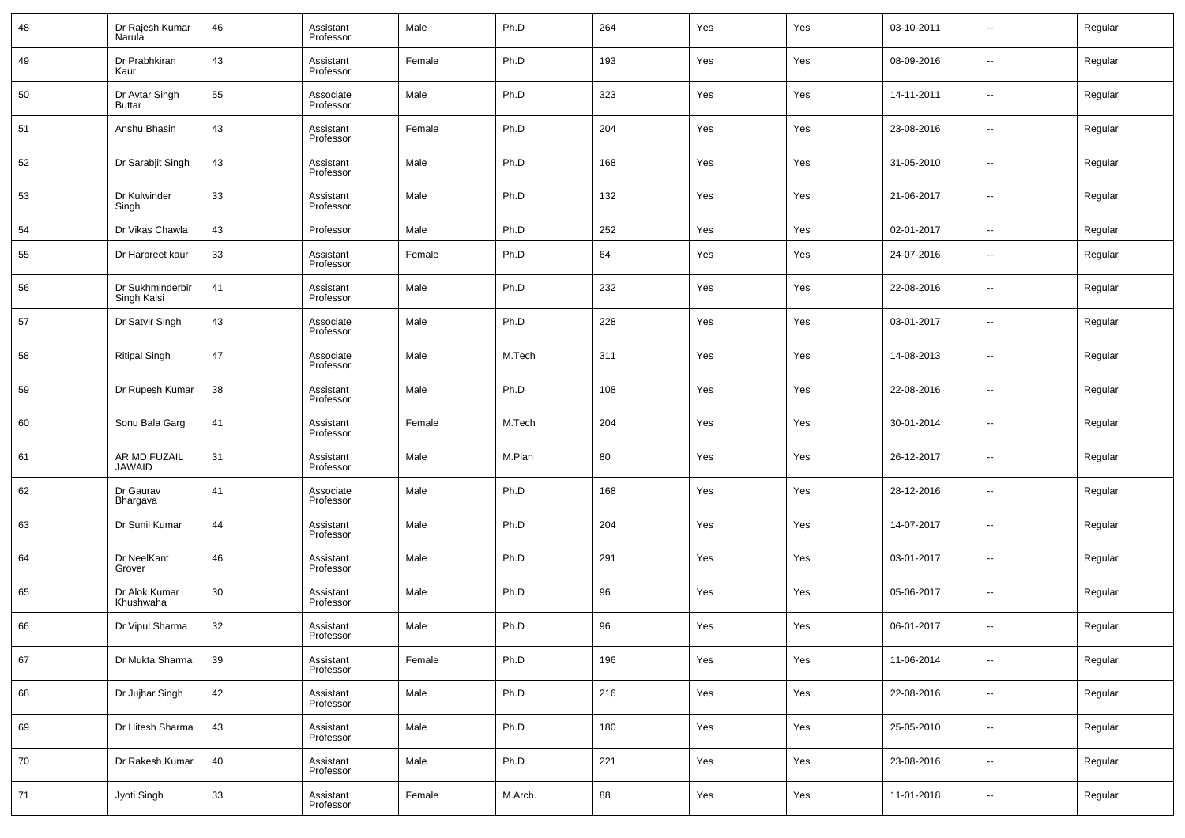| 48 | Dr Rajesh Kumar<br>Narula       | 46 | Assistant<br>Professor | Male   | Ph.D    | 264 | Yes | Yes | 03-10-2011 | $\overline{\phantom{a}}$ | Regular |
|----|---------------------------------|----|------------------------|--------|---------|-----|-----|-----|------------|--------------------------|---------|
| 49 | Dr Prabhkiran<br>Kaur           | 43 | Assistant<br>Professor | Female | Ph.D    | 193 | Yes | Yes | 08-09-2016 | $\sim$                   | Regular |
| 50 | Dr Avtar Singh<br>Buttar        | 55 | Associate<br>Professor | Male   | Ph.D    | 323 | Yes | Yes | 14-11-2011 | $\overline{\phantom{a}}$ | Regular |
| 51 | Anshu Bhasin                    | 43 | Assistant<br>Professor | Female | Ph.D    | 204 | Yes | Yes | 23-08-2016 | $\overline{\phantom{a}}$ | Regular |
| 52 | Dr Sarabjit Singh               | 43 | Assistant<br>Professor | Male   | Ph.D    | 168 | Yes | Yes | 31-05-2010 | $\overline{\phantom{a}}$ | Regular |
| 53 | Dr Kulwinder<br>Singh           | 33 | Assistant<br>Professor | Male   | Ph.D    | 132 | Yes | Yes | 21-06-2017 | $\overline{\phantom{a}}$ | Regular |
| 54 | Dr Vikas Chawla                 | 43 | Professor              | Male   | Ph.D    | 252 | Yes | Yes | 02-01-2017 | $\sim$                   | Regular |
| 55 | Dr Harpreet kaur                | 33 | Assistant<br>Professor | Female | Ph.D    | 64  | Yes | Yes | 24-07-2016 | $\overline{\phantom{a}}$ | Regular |
| 56 | Dr Sukhminderbir<br>Singh Kalsi | 41 | Assistant<br>Professor | Male   | Ph.D    | 232 | Yes | Yes | 22-08-2016 | $\overline{\phantom{a}}$ | Regular |
| 57 | Dr Satvir Singh                 | 43 | Associate<br>Professor | Male   | Ph.D    | 228 | Yes | Yes | 03-01-2017 | $\overline{\phantom{a}}$ | Regular |
| 58 | <b>Ritipal Singh</b>            | 47 | Associate<br>Professor | Male   | M.Tech  | 311 | Yes | Yes | 14-08-2013 | $\overline{\phantom{a}}$ | Regular |
| 59 | Dr Rupesh Kumar                 | 38 | Assistant<br>Professor | Male   | Ph.D    | 108 | Yes | Yes | 22-08-2016 | $\overline{\phantom{a}}$ | Regular |
| 60 | Sonu Bala Garg                  | 41 | Assistant<br>Professor | Female | M.Tech  | 204 | Yes | Yes | 30-01-2014 | $\overline{\phantom{a}}$ | Regular |
| 61 | AR MD FUZAIL<br><b>JAWAID</b>   | 31 | Assistant<br>Professor | Male   | M.Plan  | 80  | Yes | Yes | 26-12-2017 | $\overline{\phantom{a}}$ | Regular |
| 62 | Dr Gaurav<br>Bhargava           | 41 | Associate<br>Professor | Male   | Ph.D    | 168 | Yes | Yes | 28-12-2016 | $\overline{\phantom{a}}$ | Regular |
| 63 | Dr Sunil Kumar                  | 44 | Assistant<br>Professor | Male   | Ph.D    | 204 | Yes | Yes | 14-07-2017 | $\overline{\phantom{a}}$ | Regular |
| 64 | Dr NeelKant<br>Grover           | 46 | Assistant<br>Professor | Male   | Ph.D    | 291 | Yes | Yes | 03-01-2017 | $\overline{\phantom{a}}$ | Regular |
| 65 | Dr Alok Kumar<br>Khushwaha      | 30 | Assistant<br>Professor | Male   | Ph.D    | 96  | Yes | Yes | 05-06-2017 | --                       | Regular |
| 66 | Dr Vipul Sharma                 | 32 | Assistant<br>Professor | Male   | Ph.D    | 96  | Yes | Yes | 06-01-2017 | $\overline{\phantom{a}}$ | Regular |
| 67 | Dr Mukta Sharma                 | 39 | Assistant<br>Professor | Female | Ph.D    | 196 | Yes | Yes | 11-06-2014 | $\overline{\phantom{a}}$ | Regular |
| 68 | Dr Jujhar Singh                 | 42 | Assistant<br>Professor | Male   | Ph.D    | 216 | Yes | Yes | 22-08-2016 | $\sim$                   | Regular |
| 69 | Dr Hitesh Sharma                | 43 | Assistant<br>Professor | Male   | Ph.D    | 180 | Yes | Yes | 25-05-2010 | $\overline{\phantom{a}}$ | Regular |
| 70 | Dr Rakesh Kumar                 | 40 | Assistant<br>Professor | Male   | Ph.D    | 221 | Yes | Yes | 23-08-2016 | $\overline{\phantom{a}}$ | Regular |
| 71 | Jyoti Singh                     | 33 | Assistant<br>Professor | Female | M.Arch. | 88  | Yes | Yes | 11-01-2018 | $\overline{\phantom{a}}$ | Regular |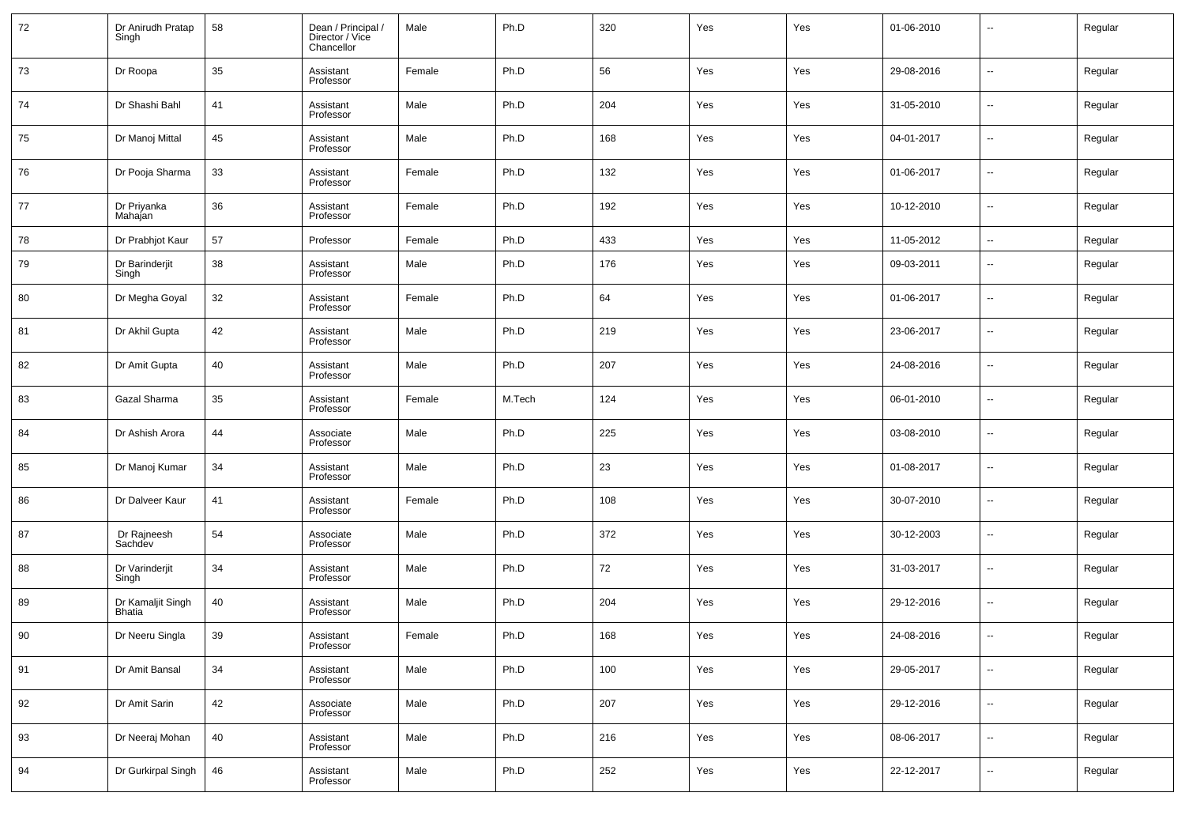| 72 | Dr Anirudh Pratap<br>Singh  | 58 | Dean / Principal /<br>Director / Vice<br>Chancellor | Male   | Ph.D   | 320 | Yes | Yes | 01-06-2010 | $\overline{\phantom{a}}$ | Regular |
|----|-----------------------------|----|-----------------------------------------------------|--------|--------|-----|-----|-----|------------|--------------------------|---------|
| 73 | Dr Roopa                    | 35 | Assistant<br>Professor                              | Female | Ph.D   | 56  | Yes | Yes | 29-08-2016 | $\overline{\phantom{a}}$ | Regular |
| 74 | Dr Shashi Bahl              | 41 | Assistant<br>Professor                              | Male   | Ph.D   | 204 | Yes | Yes | 31-05-2010 | $\overline{\phantom{a}}$ | Regular |
| 75 | Dr Manoj Mittal             | 45 | Assistant<br>Professor                              | Male   | Ph.D   | 168 | Yes | Yes | 04-01-2017 | $\overline{\phantom{a}}$ | Regular |
| 76 | Dr Pooja Sharma             | 33 | Assistant<br>Professor                              | Female | Ph.D   | 132 | Yes | Yes | 01-06-2017 | $\overline{\phantom{a}}$ | Regular |
| 77 | Dr Priyanka<br>Mahajan      | 36 | Assistant<br>Professor                              | Female | Ph.D   | 192 | Yes | Yes | 10-12-2010 | $\overline{\phantom{a}}$ | Regular |
| 78 | Dr Prabhjot Kaur            | 57 | Professor                                           | Female | Ph.D   | 433 | Yes | Yes | 11-05-2012 | $\overline{\phantom{a}}$ | Regular |
| 79 | Dr Barinderjit<br>Singh     | 38 | Assistant<br>Professor                              | Male   | Ph.D   | 176 | Yes | Yes | 09-03-2011 | $\overline{\phantom{a}}$ | Regular |
| 80 | Dr Megha Goyal              | 32 | Assistant<br>Professor                              | Female | Ph.D   | 64  | Yes | Yes | 01-06-2017 | $\overline{\phantom{a}}$ | Regular |
| 81 | Dr Akhil Gupta              | 42 | Assistant<br>Professor                              | Male   | Ph.D   | 219 | Yes | Yes | 23-06-2017 | $\overline{\phantom{a}}$ | Regular |
| 82 | Dr Amit Gupta               | 40 | Assistant<br>Professor                              | Male   | Ph.D   | 207 | Yes | Yes | 24-08-2016 | $\overline{\phantom{a}}$ | Regular |
| 83 | Gazal Sharma                | 35 | Assistant<br>Professor                              | Female | M.Tech | 124 | Yes | Yes | 06-01-2010 | $\overline{\phantom{a}}$ | Regular |
| 84 | Dr Ashish Arora             | 44 | Associate<br>Professor                              | Male   | Ph.D   | 225 | Yes | Yes | 03-08-2010 | $\overline{\phantom{a}}$ | Regular |
| 85 | Dr Manoj Kumar              | 34 | Assistant<br>Professor                              | Male   | Ph.D   | 23  | Yes | Yes | 01-08-2017 | $\overline{\phantom{a}}$ | Regular |
| 86 | Dr Dalveer Kaur             | 41 | Assistant<br>Professor                              | Female | Ph.D   | 108 | Yes | Yes | 30-07-2010 | $\overline{\phantom{a}}$ | Regular |
| 87 | Dr Rajneesh<br>Sachdev      | 54 | Associate<br>Professor                              | Male   | Ph.D   | 372 | Yes | Yes | 30-12-2003 | $\overline{\phantom{a}}$ | Regular |
| 88 | Dr Varinderjit<br>Singh     | 34 | Assistant<br>Professor                              | Male   | Ph.D   | 72  | Yes | Yes | 31-03-2017 | $\overline{\phantom{a}}$ | Regular |
| 89 | Dr Kamaljit Singh<br>Bhatia | 40 | Assistant<br>Professor                              | Male   | Ph.D   | 204 | Yes | Yes | 29-12-2016 | $\overline{\phantom{a}}$ | Regular |
| 90 | Dr Neeru Singla             | 39 | Assistant<br>Professor                              | Female | Ph.D   | 168 | Yes | Yes | 24-08-2016 | $\overline{\phantom{a}}$ | Regular |
| 91 | Dr Amit Bansal              | 34 | Assistant<br>Professor                              | Male   | Ph.D   | 100 | Yes | Yes | 29-05-2017 | $\overline{\phantom{a}}$ | Regular |
| 92 | Dr Amit Sarin               | 42 | Associate<br>Professor                              | Male   | Ph.D   | 207 | Yes | Yes | 29-12-2016 | $\overline{\phantom{a}}$ | Regular |
| 93 | Dr Neeraj Mohan             | 40 | Assistant<br>Professor                              | Male   | Ph.D   | 216 | Yes | Yes | 08-06-2017 | $\overline{\phantom{a}}$ | Regular |
| 94 | Dr Gurkirpal Singh          | 46 | Assistant<br>Professor                              | Male   | Ph.D   | 252 | Yes | Yes | 22-12-2017 | $\overline{\phantom{a}}$ | Regular |